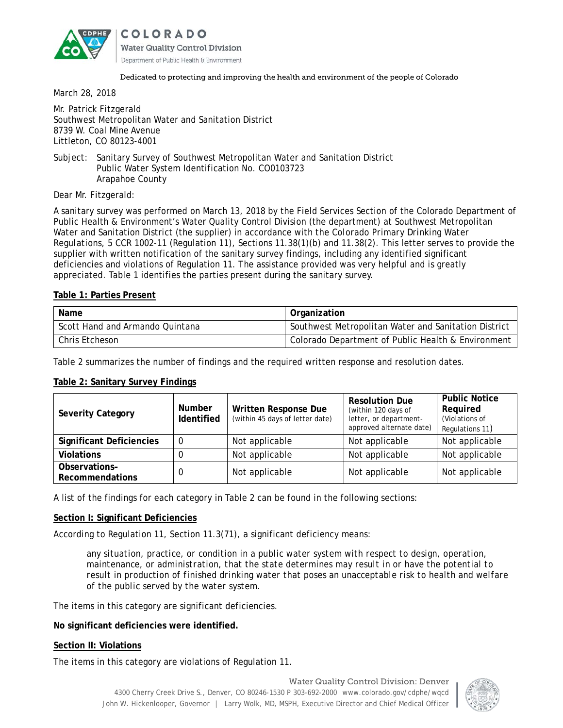

COLORADO **Water Quality Control Division** Department of Public Health & Environment

#### Dedicated to protecting and improving the health and environment of the people of Colorado

March 28, 2018

Mr. Patrick Fitzgerald Southwest Metropolitan Water and Sanitation District 8739 W. Coal Mine Avenue Littleton, CO 80123-4001

Subject: Sanitary Survey of Southwest Metropolitan Water and Sanitation District Public Water System Identification No. CO0103723 Arapahoe County

Dear Mr. Fitzgerald:

A sanitary survey was performed on March 13, 2018 by the Field Services Section of the Colorado Department of Public Health & Environment's Water Quality Control Division (the department) at Southwest Metropolitan Water and Sanitation District (the supplier) in accordance with *the Colorado Primary Drinking Water Regulations, 5 CCR 1002-11* (Regulation 11), Sections 11.38(1)(b) and 11.38(2). This letter serves to provide the supplier with written notification of the sanitary survey findings, including any identified significant deficiencies and violations of Regulation 11. The assistance provided was very helpful and is greatly appreciated. Table 1 identifies the parties present during the sanitary survey.

# **Table 1: Parties Present**

| Name                            | Organization                                         |  |  |
|---------------------------------|------------------------------------------------------|--|--|
| Scott Hand and Armando Quintana | Southwest Metropolitan Water and Sanitation District |  |  |
| Chris Etcheson                  | Colorado Department of Public Health & Environment   |  |  |

Table 2 summarizes the number of findings and the required written response and resolution dates.

# **Table 2: Sanitary Survey Findings**

| <b>Severity Category</b>         | <b>Number</b><br><b>Identified</b> | Written Response Due<br>(within 45 days of letter date) | <b>Resolution Due</b><br>(within 120 days of<br>letter, or department-<br>approved alternate date) | <b>Public Notice</b><br>Required<br>(Violations of<br>Regulations 11) |
|----------------------------------|------------------------------------|---------------------------------------------------------|----------------------------------------------------------------------------------------------------|-----------------------------------------------------------------------|
| <b>Significant Deficiencies</b>  | $\Omega$                           | Not applicable                                          | Not applicable                                                                                     | Not applicable                                                        |
| <b>Violations</b>                |                                    | Not applicable                                          | Not applicable                                                                                     | Not applicable                                                        |
| Observations-<br>Recommendations | 0                                  | Not applicable                                          | Not applicable                                                                                     | Not applicable                                                        |

A list of the findings for each category in Table 2 can be found in the following sections:

# **Section I: Significant Deficiencies**

According to Regulation 11, Section 11.3(71), a significant deficiency means:

*any situation, practice, or condition in a public water system with respect to design, operation, maintenance, or administration, that the state determines may result in or have the potential to result in production of finished drinking water that poses an unacceptable risk to health and welfare of the public served by the water system.* 

The items in this category are significant deficiencies.

**No significant deficiencies were identified.**

# **Section II: Violations**

The items in this category are violations of Regulation 11.